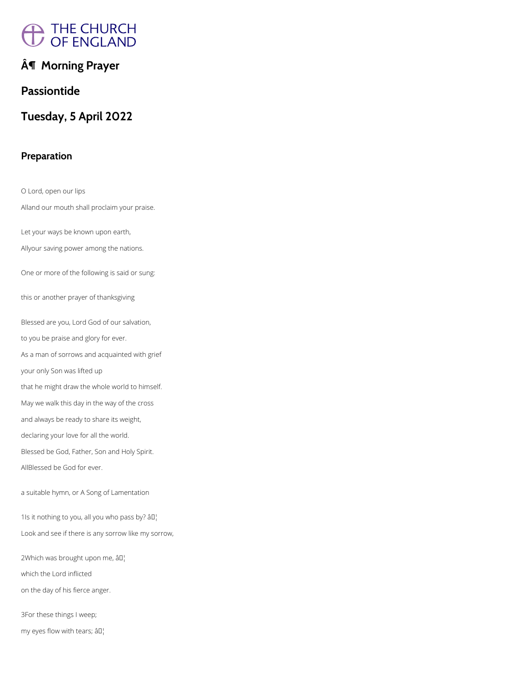# A THE CHURCH<br>/ OF ENGLAND

## **¶ Morning Prayer**

**Passiontide** 

**Tuesday, 5 April 2022**

## **Preparation**

O Lord, open our lips

Alland our mouth shall proclaim your praise.

Let your ways be known upon earth,

Allyour saving power among the nations.

One or more of the following is said or sung:

this or another prayer of thanksgiving

Blessed are you, Lord God of our salvation,

to you be praise and glory for ever.

As a man of sorrows and acquainted with grief

your only Son was lifted up

that he might draw the whole world to himself.

May we walk this day in the way of the cross

and always be ready to share its weight,

declaring your love for all the world.

Blessed be God, Father, Son and Holy Spirit.

AllBlessed be God for ever.

a suitable hymn, or A Song of Lamentation

1Is it nothing to you, all you who pass by? âD|

Look and see if there is any sorrow like my sorrow,

2Which was brought upon me, âD

which the Lord inflicted

on the day of his fierce anger.

3For these things I weep;

my eyes flow with tears;  $\hat{a} \mathbb{I}^{\dagger}_{1}$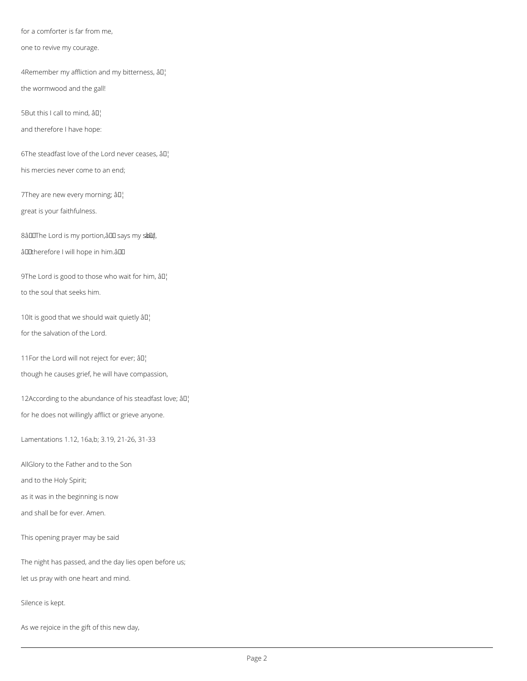for a comforter is far from me,

one to revive my courage.

4Remember my affliction and my bitterness,  $\partial \mathbb{I}^1$ 

the wormwood and the gall!

5But this I call to mind,  $\partial \Pi_1$ 

and therefore I have hope:

6The steadfast love of the Lord never ceases,  $\partial \mathbb{I}^1$ 

9The Lord is good to those who wait for him,  $\partial D_1$ to the soul that seeks him.

his mercies never come to an end;

7They are new every morning;  $\partial \mathbb{I}^1$ 

10It is good that we should wait quietly  $\partial D_1$ for the salvation of the Lord.

11For the Lord will not reject for ever;  $\partial \mathbb{I}^1$ 

great is your faithfulness.

8âDOThe Lord is my portion, âDO says my sâDu!,

âDDtherefore I will hope in him.âDD

12According to the abundance of his steadfast love;  $\partial I_1$ for he does not willingly afflict or grieve anyone.

though he causes grief, he will have compassion,

Lamentations 1.12, 16a,b; 3.19, 21-26, 31-33

AllGlory to the Father and to the Son

and to the Holy Spirit;

as it was in the beginning is now

This opening prayer may be said

The night has passed, and the day lies open before us;

let us pray with one heart and mind.

Silence is kept.

As we rejoice in the gift of this new day,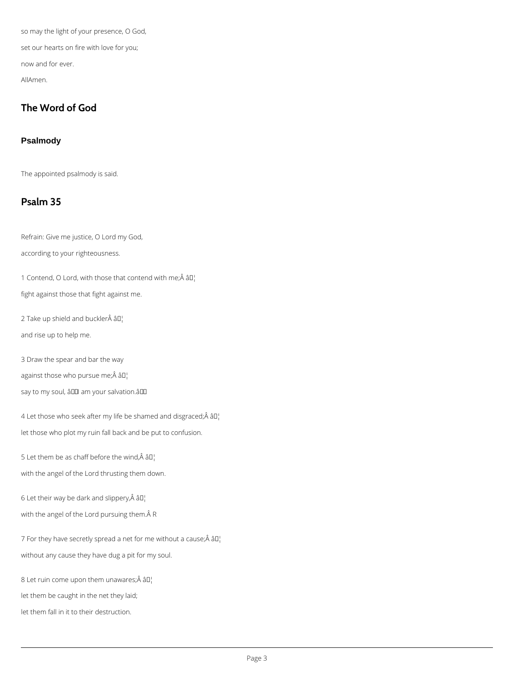so may the light of your presence, O God, set our hearts on fire with love for you; now and for ever. AllAmen.

## **The Word of God**

### **Psalmody**

The appointed psalmody is said.

## **Psalm 35**

1 Contend, O Lord, with those that contend with me; $\hat{A}$   $\hat{a}$  $\Gamma$ fight against those that fight against me.

2 Take up shield and buckler $\hat{A}$  â $I$ <sup>1</sup>

Refrain: Give me justice, O Lord my God,

according to your righteousness.

4 Let those who seek after my life be shamed and disgraced; $\hat{A}$   $\hat{a}$  $\Gamma$ let those who plot my ruin fall back and be put to confusion.

5 Let them be as chaff before the wind, $\hat{A}$  â $\Box$ 

and rise up to help me.

3 Draw the spear and bar the way

against those who pursue me; $\hat{A}$  â $\Box$ 

say to my soul, â00 am your salvation.â00

with the angel of the Lord thrusting them down.

6 Let their way be dark and slippery, $\hat{A}$  â $\Box$ 

with the angel of the Lord pursuing them. AR

7 For they have secretly spread a net for me without a cause; $\hat{A}$  â $II'_{I}$ 

without any cause they have dug a pit for my soul.

8 Let ruin come upon them unawares; $\hat{A}$  â $I$ <sup>1</sup>

let them be caught in the net they laid;

let them fall in it to their destruction.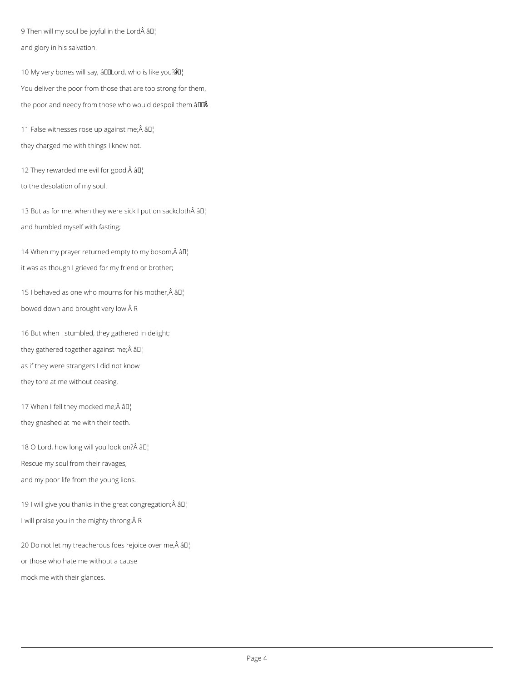9 Then will my soul be joyful in the Lord  $\partial I_1$ and glory in his salvation.

10 My very bones will say, âDDLord, who is like you?  $\partial Q$ ! You deliver the poor from those that are too strong for them, the poor and needy from those who would despoil them. $\frac{\partial^2 u}{\partial x^2}$ 

11 False witnesses rose up against me; $\hat{A}$  â $I$ ] they charged me with things I knew not.

12 They rewarded me evil for good, $\hat{A}$  â $\Box$ 

13 But as for me, when they were sick I put on sackcloth $\hat{A}$  âll and humbled myself with fasting;

14 When my prayer returned empty to my bosom, $\hat{A}$  â $I$ <sup>1</sup> it was as though I grieved for my friend or brother;

15 I behaved as one who mourns for his mother, $\hat{A}$   $\hat{a}$  $I$ bowed down and brought very low. Â R

to the desolation of my soul.

17 When I fell they mocked me; $\hat{A}$   $\hat{a}$  $\Gamma$ they gnashed at me with their teeth.

18 O Lord, how long will you look on? $\hat{A}$   $\hat{a}$  $\Gamma$ 

16 But when I stumbled, they gathered in delight; they gathered together against me; Â â D¦ as if they were strangers I did not know they tore at me without ceasing.

Rescue my soul from their ravages,

and my poor life from the young lions.

19 I will give you thanks in the great congregation; $\hat{A}$  â $I_I^I$ 

I will praise you in the mighty throng. A R

20 Do not let my treacherous foes rejoice over me, $\hat{A}$  â $\Pi_1^1$ 

or those who hate me without a cause

mock me with their glances.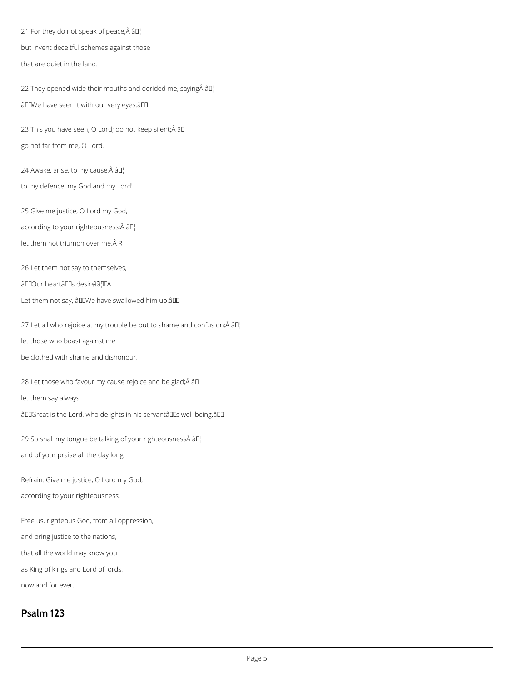21 For they do not speak of peace, $\hat{A}$  â $\Box$ but invent deceitful schemes against those that are quiet in the land.

22 They opened wide their mouths and derided me, saying  $\hat{A}$   $\hat{a}$  $\Gamma$ âDDWe have seen it with our very eyes.âDD

23 This you have seen, O Lord; do not keep silent; Â âD¦ go not far from me, O Lord.

24 Awake, arise, to my cause, $\hat{A}$  â $I^{\dagger}$ 

to my defence, my God and my Lord!

25 Give me justice, O Lord my God,

according to your righteousness; Â â []

let them not triumph over me. $\hat{A}$  R

29 So shall my tongue be talking of your righteousness $\hat{A}$  â $II_1$ and of your praise all the day long.

26 Let them not say to themselves,

â DOUr heartâ DDs desire â pu

Let them not say, âDDWe have swallowed him up.âDD

27 Let all who rejoice at my trouble be put to shame and confusion; $\hat{A}$  â $\Box$ 

let those who boast against me

be clothed with shame and dishonour.

28 Let those who favour my cause rejoice and be glad; $\hat{A}$   $\hat{a}$  $\Gamma$ 

let them say always,

âDDGreat is the Lord, who delights in his servantâDDs well-being.âDD

Refrain: Give me justice, O Lord my God,

according to your righteousness.

Free us, righteous God, from all oppression,

and bring justice to the nations,

that all the world may know you

as King of kings and Lord of lords,

now and for ever.

**Psalm 123**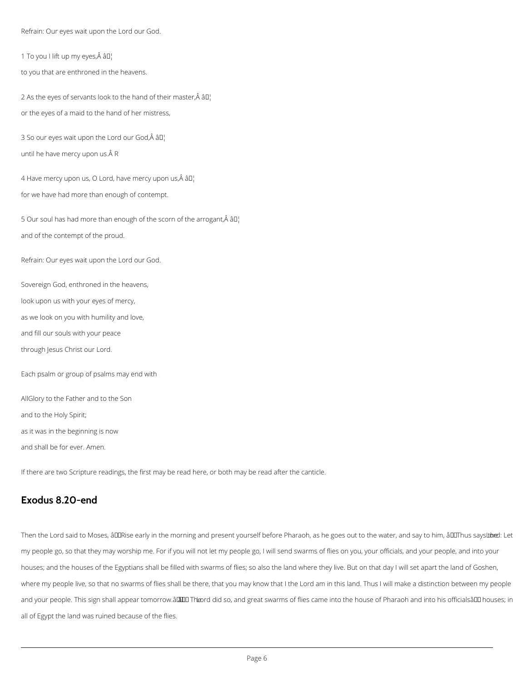Refrain: Our eyes wait upon the Lord our God.

1 To you I lift up my eyes, $\hat{A}$   $\hat{a}$  $I$ 

to you that are enthroned in the heavens.

2 As the eyes of servants look to the hand of their master, $\hat{A}$  âll or the eyes of a maid to the hand of her mistress,

3 So our eyes wait upon the Lord our God, $\hat{A}$  â $\Box$ ! until he have mercy upon us. Â R

4 Have mercy upon us, O Lord, have mercy upon us, $\hat{A}$   $\hat{a}$  $\Gamma$ for we have had more than enough of contempt.

5 Our soul has had more than enough of the scorn of the arrogant, $\hat{A}$  âll and of the contempt of the proud.

Refrain: Our eyes wait upon the Lord our God.

Sovereign God, enthroned in the heavens,

look upon us with your eyes of mercy,

as we look on you with humility and love,

and fill our souls with your peace

through Jesus Christ our Lord.

Each psalm or group of psalms may end with

AllGlory to the Father and to the Son

and to the Holy Spirit;

as it was in the beginning is now

and shall be for ever. Amen.

If there are two Scripture readings, the first may be read here, or both may be read after the canticle.

## **Exodus 8.20-end**

Then the Lord said to Moses, âDDRise early in the morning and present yourself before Pharaoh, as he goes out to the water, and say to him, âDDThus says ut bet

my people go, so that they may worship me. For if you will not let my people go, I will send swarms of flies on you, your officials, and your people, and into your

houses; and the houses of the Egyptians shall be filled with swarms of flies; so also the land where they live. But on that day I will set apart the land of Goshen,

where my people live, so that no swarms of flies shall be there, that you may know that I the Lord am in this land. Thus I will make a distinction between my people

and your people. This sign shall appear tomorrow.âl The Theord did so, and great swarms of flies came into the house of Pharaoh and into his officialsâ DD houses; in

all of Egypt the land was ruined because of the flies.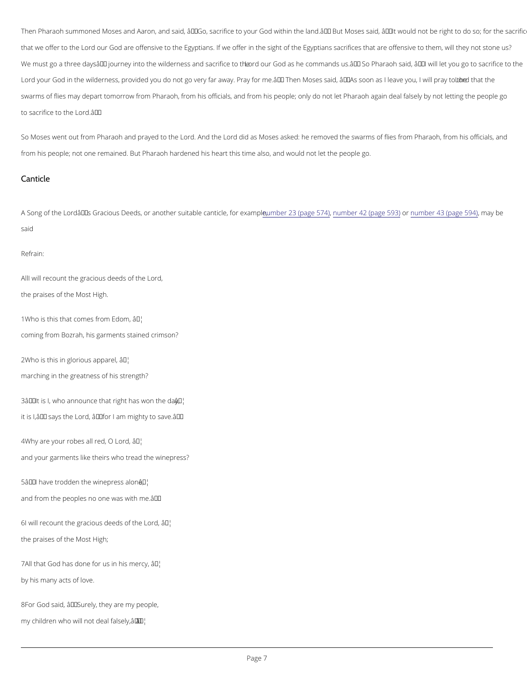Then Pharaoh summoned Moses and Aaron, and said,  $\hat{a} \in \tilde{a}$  Go, sacrifice to your God within the land. $\hat{a} \in \tilde{a}$  B that we offerL bordblue God are offensive to the Egyptians. If we offer in the sight of the Egyptians sacrific We must go a three daysâ $\in$ ™ journey into the widnobeumeGsodaad becorofmomeanodshues.â $\in$ ™ So Pharaoh said, â $\in$ ~ Lord your God in the wilderness, provided you do not go very far away. Pray for me. a €™ Theomro Mhoste sheaid swarms of flies may depart tomorrow from Pharaoh, from his officials, and from his people; only do not l to sacrifice Ltoor.dâh€e<sup>™</sup>

So Moses went out from Pharaoh la ond Anady tho et to the Moses asked: he removed the swarms of flies from P from his people; not one remained. But Pharaoh hardened his heart this time also, and would not let the

A Song of the Lord's Gracious Deeds, or anoth**er on she**trablBe (opaangnteuom\$no%e) fo4r2e(xpaamgnpenheo5,6n3b)er 43 (pagem 5594b)e said

All will recount the gracious deeds of the Lord, the praises of the Most High.

 $1W$  ho is this that comes  $\hat{a}$   $f$ <sup> $M$ </sup> $\hat{b}$  m  $E$  dom, coming from Bozrah, his garments stained crimson?

 $2W$  ho is this in glorio  $\hat{u}$   $\hat{v}$  apparel,

#### Canticle

#### Refrain:

marching in the greatness of his strength?

 $3\hat{a} \in \tilde{a}$  it is I, who announce that ri $\hat{a}$ g M<sup>e</sup>t has won the day, it is 1,' says the Lord, â€~for I am mighty to save.'

 $4W$ hy are your robes allâ $\bar{r}$ Ad, O Lord,

and your garments like theirs who tread the winepress?

 $5\hat{a} \in \tilde{a}$  have trodden the wan  $\Phi$  press alone, and from the peoples no one was with me.  $\hat{a} \in \mathbb{M}$ 

 $6I$  will recount the gracious dê $e^{i\theta}$ d's of the Lord,

the praises of the Most High;

 $7$ All that God has done for  $\hat{\mathbf{a}}$   $\mathbf{s}^{\text{M}}$  in his mercy,

by his many acts of love.

8For God said,  $\hat{a} \in \tilde{S}$  Surely, they are my people,

my children who will not a d<sup>uid</sup> al falsely,  $\hat{a} \in \mathbb{M}$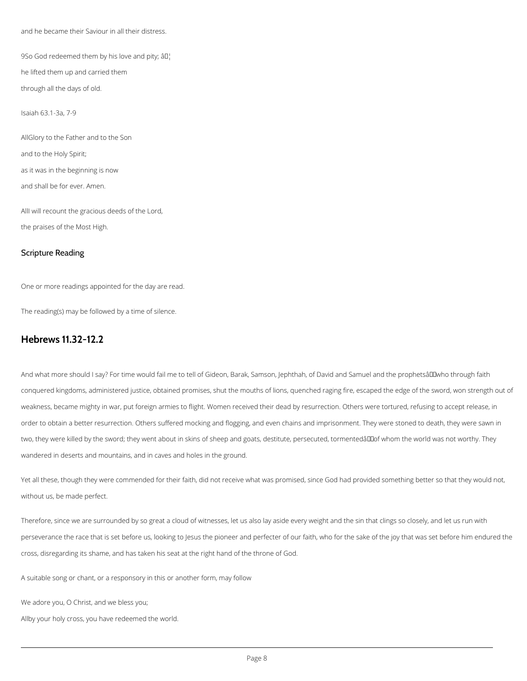and he became their Saviour in all their distress.

9So God redeemed them by his love and pity;  $\partial \mathbb{I}^1$ he lifted them up and carried them

through all the days of old.

Isaiah 63.1-3a, 7-9

AllGlory to the Father and to the Son and to the Holy Spirit;

as it was in the beginning is now

and shall be for ever. Amen.

AllI will recount the gracious deeds of the Lord, the praises of the Most High.

#### Scripture Reading

One or more readings appointed for the day are read.

The reading(s) may be followed by a time of silence.

## **Hebrews 11.32-12.2**

And what more should I say? For time would fail me to tell of Gideon, Barak, Samson, Jephthah, of David and Samuel and the prophetsâ LL who through faith conquered kingdoms, administered justice, obtained promises, shut the mouths of lions, quenched raging fire, escaped the edge of the sword, won strength out of weakness, became mighty in war, put foreign armies to flight. Women received their dead by resurrection. Others were tortured, refusing to accept release, in order to obtain a better resurrection. Others suffered mocking and flogging, and even chains and imprisonment. They were stoned to death, they were sawn in two, they were killed by the sword; they went about in skins of sheep and goats, destitute, persecuted, tormentedâlllof whom the world was not worthy. They wandered in deserts and mountains, and in caves and holes in the ground.

Yet all these, though they were commended for their faith, did not receive what was promised, since God had provided something better so that they would not, without us, be made perfect.

Therefore, since we are surrounded by so great a cloud of witnesses, let us also lay aside every weight and the sin that clings so closely, and let us run with

perseverance the race that is set before us, looking to Jesus the pioneer and perfecter of our faith, who for the sake of the joy that was set before him endured the

cross, disregarding its shame, and has taken his seat at the right hand of the throne of God.

A suitable song or chant, or a responsory in this or another form, may follow

We adore you, O Christ, and we bless you;

Allby your holy cross, you have redeemed the world.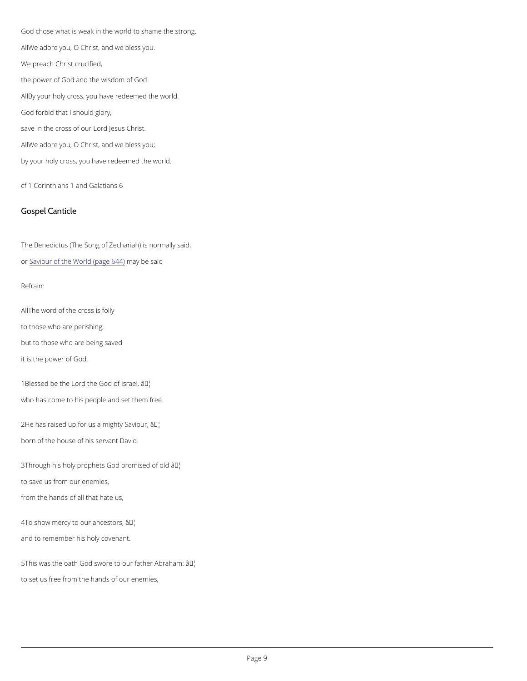God chose what is weak in the world to shame the strong. AMe adore you, O Christ, and we bless you. We preach Christ crucified, the power of God and the wisdom of God. ABy your holy cross, you have redeemed the world. God forbid that I should glory, save in the cross of our Lord Jesus Christ. AMe adore you, O Christ, and we bless you; by your holy cross, you have redeemed the world.

All he word of the cross is folly to those who are perishing, but to those who are being saved it is the power of God.

1Blessed be the Lord the  $\partial \mathcal{F}$ bd of Israel, who has come to his people and set them free.

cf 1 Corinthians 1 and Galatians 6

 $2He$  has raised up for us a  $an$ Mghty Saviour, born of the house of his servant David.

Gospel Canticle

The Benedictus (The Song of Zechariah) is normally said,

#### o[r Saviour of the World](https://cwdp.oremus.org//canticles/othercanticles/87.html)  $m$ (page 6s4a4i)d

 $3$ Through his holy prophets Godap<sup>t</sup> bmised of old to save us from our enemies, from the hands of all that hate us,

4To show mercy to ourâ  $\frac{1}{2}$  of  $\frac{1}{2}$  cestors,

Refrain:

and to remember his holy covenant.

 $5$ This was the oath God swore to o $\hat{a}$  *T<sup>M</sup>* father Abraham:

to set us free from the hands of our enemies,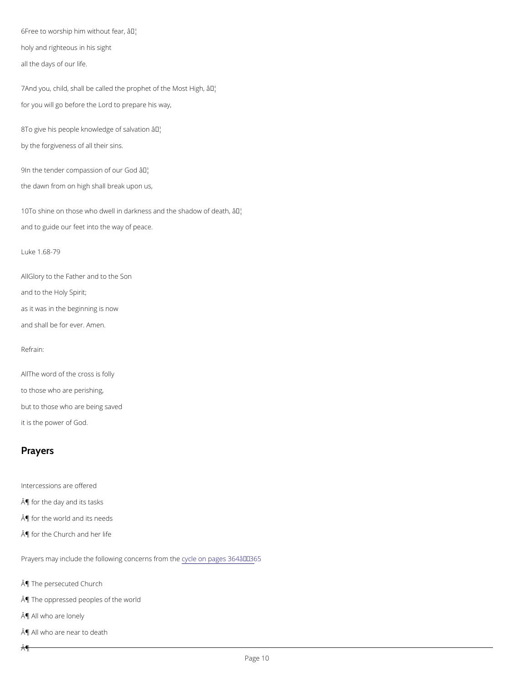$6$ Free to worship him wait Miout fear, holy and righteous in his sight all the days of our life.

7And you, child, shall be called the proapthet of the Most High, for you will go before the Lord to prepare his way,

8To give his people knowledad biof salvation by the forgiveness of all their sins.

9In the tender compassio a<sup>TM</sup>olf our God the dawn from on high shall break upon us,

 $10T$ o shine on those who dwell in darkness a $\mathbf{\hat{a}}$  the shadow of death, and to guide our feet into the way of peace.

AlGlory to the Father and to the Son and to the Holy Spirit; as it was in the beginning is now and shall be for ever. Amen.

All he word of the cross is folly to those who are perishing, but to those who are being saved it is the power of God.

Luke 1.68-79

#### Refrain:

## Prayers

Intercessions are offered ¶ for the day and its tasks

¶ for the world and its needs

¶ for the Church and her life

Prayers may include the following cycle cem pages 364  $\hat{a} \in$  "365

¶ The persecuted Church

¶ The oppressed peoples of the world

¶ All who are lonely

 $\hat{A}$ ¶

¶ All who are near to death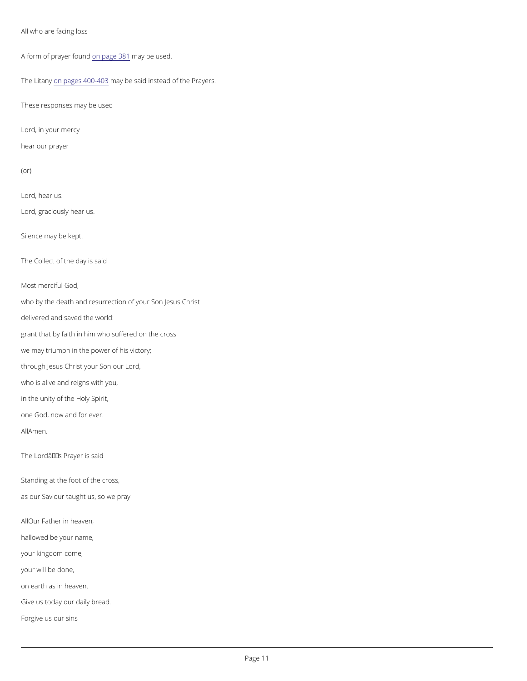All who are facing loss

A form of prayeorn fpagel 8n&a1y be used.

The Litam ypages  $40$   $0$ n-aly $0$   $3$ be said instead of the Prayers.

These responses may be used

who by the death and resurrection of your Son Jesus Christ delivered and saved the world: grant that by faith in him who suffered on the cross we may triumph in the power of his victory; through Jesus Christ your Son our Lord, who is alive and reigns with you, in the unity of the Holy Spirit, one God, now and for ever. AAMmen. The Lord's Prayer is said

Lord, in your mercy

hear our prayer

(or)

Lord, hear us.

Lord, graciously hear us.

Silence may be kept.

The Collect of the day is said

Most merciful God,

Standing at the foot of the cross, as our Saviour taught us, so we pray

A Our Father in heaven,

hallowed be your name,

your kingdom come,

your will be done,

on earth as in heaven.

Give us today our daily bread.

Forgive us our sins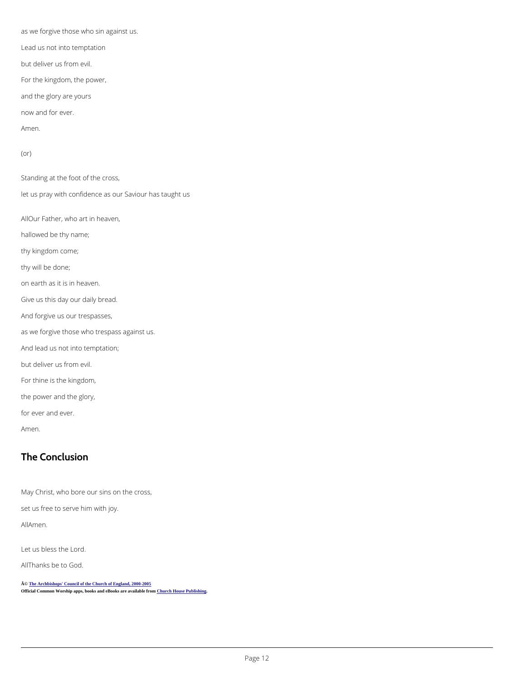as we forgive those who sin against us. Lead us not into temptation but deliver us from evil. For the kingdom, the power, and the glory are yours now and for ever. Amen. (or) Standing at the foot of the cross, let us pray with confidence as our Saviour has taught us AOur Father, who art in heaven, hallowed be thy name; thy kingdom come; thy will be done; on earth as it is in heaven. Give us this day our daily bread. And forgive us our trespasses, as we forgive those who trespass against us. And lead us not into temptation; but deliver us from evil. For thine is the kingdom, the power and the glory, for ever and ever. Amen.

© [The Archbishops' Council of the Church of England, 2000-200](https://www.churchofengland.org/prayer-worship/join-us-in-daily-prayer/copyright.aspx)5 Official Common Worship apps, books and eBooks are available fro[m Church House Publishing.](http://www.chpublishing.co.uk/)

## The Conclusion

May Christ, who bore our sins on the cross,

set us free to serve him with joy.

A  $M$  m e n.

Let us bless the Lord.

Althanks be to God.